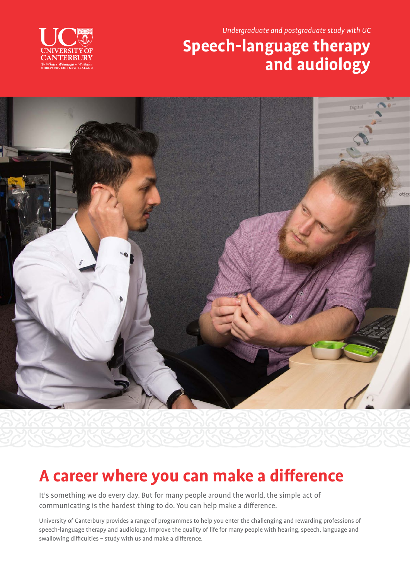Undergraduate and postgraduate study with UC

### **Speech-language therapy and audiology**





### **A career where you can make a difference**

It's something we do every day. But for many people around the world, the simple act of communicating is the hardest thing to do. You can help make a difference.

University of Canterbury provides a range of programmes to help you enter the challenging and rewarding professions of speech-language therapy and audiology. Improve the quality of life for many people with hearing, speech, language and swallowing difficulties – study with us and make a difference.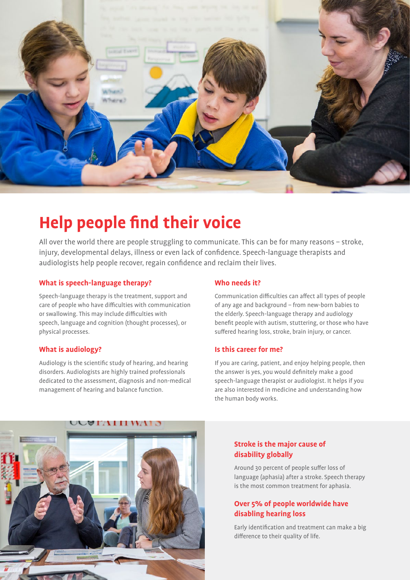

### **Help people find their voice**

All over the world there are people struggling to communicate. This can be for many reasons – stroke, injury, developmental delays, illness or even lack of confidence. Speech-language therapists and audiologists help people recover, regain confidence and reclaim their lives.

### **What is speech-language therapy?**

Speech-language therapy is the treatment, support and care of people who have difficulties with communication or swallowing. This may include difficulties with speech, language and cognition (thought processes), or physical processes.

### **What is audiology?**

Audiology is the scientific study of hearing, and hearing disorders. Audiologists are highly trained professionals dedicated to the assessment, diagnosis and non-medical management of hearing and balance function.

### **Who needs it?**

Communication difficulties can affect all types of people of any age and background – from new-born babies to the elderly. Speech-language therapy and audiology benefit people with autism, stuttering, or those who have suffered hearing loss, stroke, brain injury, or cancer.

### **Is this career for me?**

If you are caring, patient, and enjoy helping people, then the answer is yes, you would definitely make a good speech-language therapist or audiologist. It helps if you are also interested in medicine and understanding how the human body works.



### **Stroke is the major cause of disability globally**

Around 30 percent of people suffer loss of language (aphasia) after a stroke. Speech therapy is the most common treatment for aphasia.

### **Over 5% of people worldwide have disabling hearing loss**

Early identification and treatment can make a big difference to their quality of life.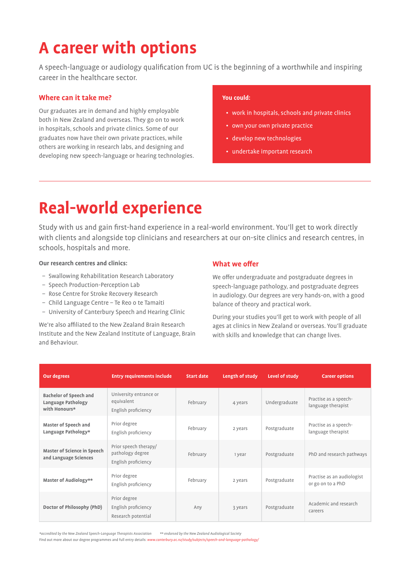## **A career with options**

A speech-language or audiology qualification from UC is the beginning of a worthwhile and inspiring career in the healthcare sector.

### **Where can it take me?**

Our graduates are in demand and highly employable both in New Zealand and overseas. They go on to work in hospitals, schools and private clinics. Some of our graduates now have their own private practices, while others are working in research labs, and designing and developing new speech-language or hearing technologies.

### **You could:**

- work in hospitals, schools and private clinics
- own your own private practice
- develop new technologies
- undertake important research

### **Real-world experience**

Study with us and gain first-hand experience in a real-world environment. You'll get to work directly with clients and alongside top clinicians and researchers at our on-site clinics and research centres, in schools, hospitals and more.

#### **Our research centres and clinics:**

- Swallowing Rehabilitation Research Laboratory
- Speech Production-Perception Lab
- Rose Centre for Stroke Recovery Research
- Child Language Centre Te Reo o te Tamaiti
- University of Canterbury Speech and Hearing Clinic

We're also affiliated to the New Zealand Brain Research Institute and the New Zealand Institute of Language, Brain and Behaviour.

### **What we offer**

We offer undergraduate and postgraduate degrees in speech-language pathology, and postgraduate degrees in audiology. Our degrees are very hands-on, with a good balance of theory and practical work.

During your studies you'll get to work with people of all ages at clinics in New Zealand or overseas. You'll graduate with skills and knowledge that can change lives.

| <b>Our degrees</b>                                                   | <b>Entry requirements include</b>                                | <b>Start date</b> | Length of study | Level of study | <b>Career options</b>                           |
|----------------------------------------------------------------------|------------------------------------------------------------------|-------------------|-----------------|----------------|-------------------------------------------------|
| <b>Bachelor of Speech and</b><br>Language Pathology<br>with Honours* | University entrance or<br>equivalent<br>English proficiency      | February          | 4 years         | Undergraduate  | Practise as a speech-<br>language therapist     |
| Master of Speech and<br>Language Pathology*                          | Prior degree<br>English proficiency                              | February          | 2 years         | Postgraduate   | Practise as a speech-<br>language therapist     |
| Master of Science in Speech<br>and Language Sciences                 | Prior speech therapy/<br>pathology degree<br>English proficiency | February          | 1 year          | Postgraduate   | PhD and research pathways                       |
| Master of Audiology**                                                | Prior degree<br>English proficiency                              | February          | 2 years         | Postgraduate   | Practise as an audiologist<br>or go on to a PhD |
| Doctor of Philosophy (PhD)                                           | Prior degree<br>English proficiency<br>Research potential        | Any               | 3 years         | Postgraduate   | Academic and research<br>careers                |

\*accredited by the New Zealand Speech-Language Therapists Association \*\* endorsed by the New Zealand Audiological Society Find out more about our degree programmes and full entry details: www.canterbury.ac.nz/study/subjects/speech-and-language-pathology/